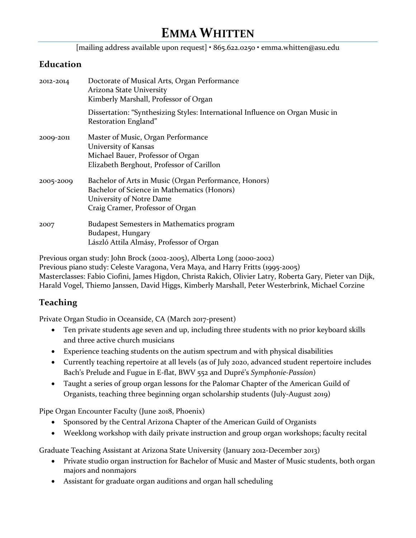[mailing address available upon request] • 865.622.0250 • emma.whitten@asu.edu

#### **Education**

| 2012-2014 | Doctorate of Musical Arts, Organ Performance<br>Arizona State University<br>Kimberly Marshall, Professor of Organ                                                    |
|-----------|----------------------------------------------------------------------------------------------------------------------------------------------------------------------|
|           | Dissertation: "Synthesizing Styles: International Influence on Organ Music in<br>Restoration England"                                                                |
| 2009-2011 | Master of Music, Organ Performance<br>University of Kansas<br>Michael Bauer, Professor of Organ<br>Elizabeth Berghout, Professor of Carillon                         |
| 2005-2009 | Bachelor of Arts in Music (Organ Performance, Honors)<br>Bachelor of Science in Mathematics (Honors)<br>University of Notre Dame<br>Craig Cramer, Professor of Organ |
| 2007      | <b>Budapest Semesters in Mathematics program</b><br>Budapest, Hungary<br>László Attila Almásy, Professor of Organ                                                    |

Previous organ study: John Brock (2002-2005), Alberta Long (2000-2002) Previous piano study: Celeste Varagona, Vera Maya, and Harry Fritts (1995-2005) Masterclasses: Fabio Ciofini, James Higdon, Christa Rakich, Olivier Latry, Roberta Gary, Pieter van Dijk, Harald Vogel, Thiemo Janssen, David Higgs, Kimberly Marshall, Peter Westerbrink, Michael Corzine

### **Teaching**

Private Organ Studio in Oceanside, CA (March 2017-present)

- Ten private students age seven and up, including three students with no prior keyboard skills and three active church musicians
- Experience teaching students on the autism spectrum and with physical disabilities
- Currently teaching repertoire at all levels (as of July 2020, advanced student repertoire includes Bach's Prelude and Fugue in E-flat, BWV 552 and Dupré's *Symphonie-Passion*)
- Taught a series of group organ lessons for the Palomar Chapter of the American Guild of Organists, teaching three beginning organ scholarship students (July-August 2019)

Pipe Organ Encounter Faculty (June 2018, Phoenix)

- Sponsored by the Central Arizona Chapter of the American Guild of Organists
- Weeklong workshop with daily private instruction and group organ workshops; faculty recital

Graduate Teaching Assistant at Arizona State University (January 2012-December 2013)

- Private studio organ instruction for Bachelor of Music and Master of Music students, both organ majors and nonmajors
- Assistant for graduate organ auditions and organ hall scheduling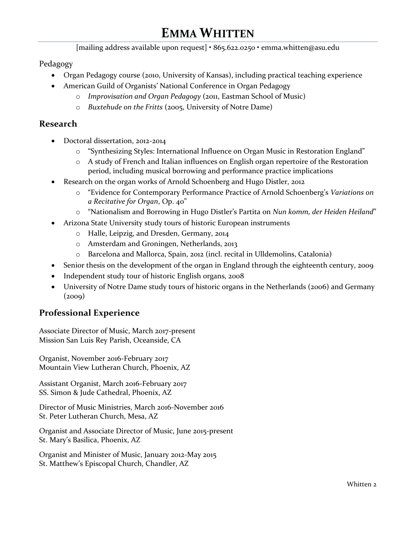[mailing address available upon request] • 865.622.0250 • emma.whitten@asu.edu

Pedagogy

- Organ Pedagogy course (2010, University of Kansas), including practical teaching experience
- American Guild of Organists' National Conference in Organ Pedagogy
	- o *Improvisation and Organ Pedagogy* (2011, Eastman School of Music)
	- o *Buxtehude on the Fritts* (2005, University of Notre Dame)

### **Research**

- Doctoral dissertation, 2012-2014
	- o "Synthesizing Styles: International Influence on Organ Music in Restoration England"
	- o A study of French and Italian influences on English organ repertoire of the Restoration period, including musical borrowing and performance practice implications
- Research on the organ works of Arnold Schoenberg and Hugo Distler, 2012
	- o "Evidence for Contemporary Performance Practice of Arnold Schoenberg's *Variations on a Recitative for Organ*, Op. 40"
	- o "Nationalism and Borrowing in Hugo Distler's Partita on *Nun komm, der Heiden Heiland*"
	- Arizona State University study tours of historic European instruments
		- o Halle, Leipzig, and Dresden, Germany, 2014
		- o Amsterdam and Groningen, Netherlands, 2013
		- o Barcelona and Mallorca, Spain, 2012 (incl. recital in Ulldemolins, Catalonia)
- Senior thesis on the development of the organ in England through the eighteenth century, 2009
- Independent study tour of historic English organs, 2008
- University of Notre Dame study tours of historic organs in the Netherlands (2006) and Germany  $(2009)$

### **Professional Experience**

Associate Director of Music, March 2017-present Mission San Luis Rey Parish, Oceanside, CA

Organist, November 2016-February 2017 Mountain View Lutheran Church, Phoenix, AZ

Assistant Organist, March 2016-February 2017 SS. Simon & Jude Cathedral, Phoenix, AZ

Director of Music Ministries, March 2016-November 2016 St. Peter Lutheran Church, Mesa, AZ

Organist and Associate Director of Music, June 2015-present St. Mary's Basilica, Phoenix, AZ

Organist and Minister of Music, January 2012-May 2015 St. Matthew's Episcopal Church, Chandler, AZ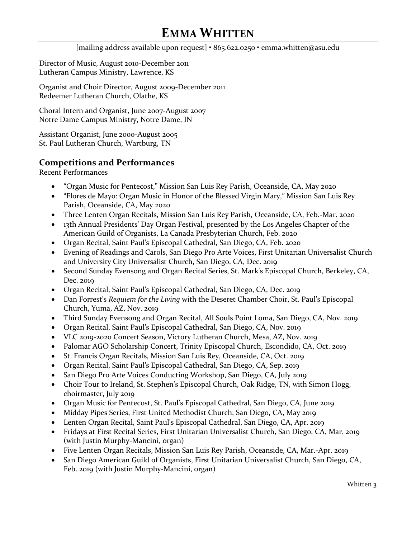[mailing address available upon request] • 865.622.0250 • emma.whitten@asu.edu

Director of Music, August 2010-December 2011 Lutheran Campus Ministry, Lawrence, KS

Organist and Choir Director, August 2009-December 2011 Redeemer Lutheran Church, Olathe, KS

Choral Intern and Organist, June 2007-August 2007 Notre Dame Campus Ministry, Notre Dame, IN

Assistant Organist, June 2000-August 2005 St. Paul Lutheran Church, Wartburg, TN

### **Competitions and Performances**

Recent Performances

- "Organ Music for Pentecost," Mission San Luis Rey Parish, Oceanside, CA, May 2020
- "Flores de Mayo: Organ Music in Honor of the Blessed Virgin Mary," Mission San Luis Rey Parish, Oceanside, CA, May 2020
- Three Lenten Organ Recitals, Mission San Luis Rey Parish, Oceanside, CA, Feb.-Mar. 2020
- 13th Annual Presidents' Day Organ Festival, presented by the Los Angeles Chapter of the American Guild of Organists, La Canada Presbyterian Church, Feb. 2020
- Organ Recital, Saint Paul's Episcopal Cathedral, San Diego, CA, Feb. 2020
- Evening of Readings and Carols, San Diego Pro Arte Voices, First Unitarian Universalist Church and University City Universalist Church, San Diego, CA, Dec. 2019
- Second Sunday Evensong and Organ Recital Series, St. Mark's Episcopal Church, Berkeley, CA, Dec. 2019
- Organ Recital, Saint Paul's Episcopal Cathedral, San Diego, CA, Dec. 2019
- Dan Forrest's *Requiem for the Living* with the Deseret Chamber Choir, St. Paul's Episcopal Church, Yuma, AZ, Nov. 2019
- Third Sunday Evensong and Organ Recital, All Souls Point Loma, San Diego, CA, Nov. 2019
- Organ Recital, Saint Paul's Episcopal Cathedral, San Diego, CA, Nov. 2019
- VLC 2019-2020 Concert Season, Victory Lutheran Church, Mesa, AZ, Nov. 2019
- Palomar AGO Scholarship Concert, Trinity Episcopal Church, Escondido, CA, Oct. 2019
- St. Francis Organ Recitals, Mission San Luis Rey, Oceanside, CA, Oct. 2019
- Organ Recital, Saint Paul's Episcopal Cathedral, San Diego, CA, Sep. 2019
- San Diego Pro Arte Voices Conducting Workshop, San Diego, CA, July 2019
- Choir Tour to Ireland, St. Stephen's Episcopal Church, Oak Ridge, TN, with Simon Hogg, choirmaster, July 2019
- Organ Music for Pentecost, St. Paul's Episcopal Cathedral, San Diego, CA, June 2019
- Midday Pipes Series, First United Methodist Church, San Diego, CA, May 2019
- Lenten Organ Recital, Saint Paul's Episcopal Cathedral, San Diego, CA, Apr. 2019
- Fridays at First Recital Series, First Unitarian Universalist Church, San Diego, CA, Mar. 2019 (with Justin Murphy-Mancini, organ)
- Five Lenten Organ Recitals, Mission San Luis Rey Parish, Oceanside, CA, Mar.-Apr. 2019
- San Diego American Guild of Organists, First Unitarian Universalist Church, San Diego, CA, Feb. 2019 (with Justin Murphy-Mancini, organ)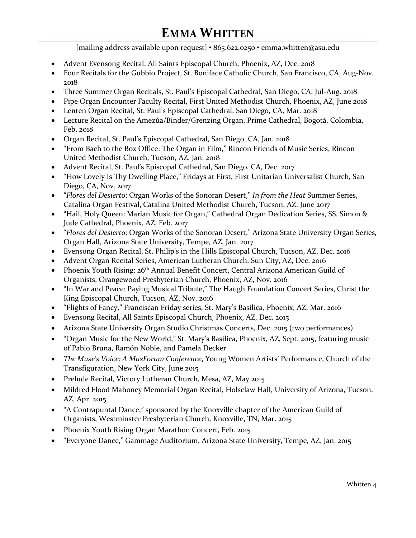[mailing address available upon request] • 865.622.0250 • emma.whitten@asu.edu

- Advent Evensong Recital, All Saints Episcopal Church, Phoenix, AZ, Dec. 2018
- Four Recitals for the Gubbio Project, St. Boniface Catholic Church, San Francisco, CA, Aug-Nov. 2018
- Three Summer Organ Recitals, St. Paul's Episcopal Cathedral, San Diego, CA, Jul-Aug. 2018
- Pipe Organ Encounter Faculty Recital, First United Methodist Church, Phoenix, AZ, June 2018
- Lenten Organ Recital, St. Paul's Episcopal Cathedral, San Diego, CA, Mar. 2018
- Lecture Recital on the Amezúa/Binder/Grenzing Organ, Prime Cathedral, Bogotá, Colombia, Feb. 2018
- Organ Recital, St. Paul's Episcopal Cathedral, San Diego, CA, Jan. 2018
- "From Bach to the Box Office: The Organ in Film," Rincon Friends of Music Series, Rincon United Methodist Church, Tucson, AZ, Jan. 2018
- Advent Recital, St. Paul's Episcopal Cathedral, San Diego, CA, Dec. 2017
- "How Lovely Is Thy Dwelling Place," Fridays at First, First Unitarian Universalist Church, San Diego, CA, Nov. 2017
- "*Flores del Desierto*: Organ Works of the Sonoran Desert," *In from the Heat* Summer Series, Catalina Organ Festival, Catalina United Methodist Church, Tucson, AZ, June 2017
- "Hail, Holy Queen: Marian Music for Organ," Cathedral Organ Dedication Series, SS. Simon & Jude Cathedral, Phoenix, AZ, Feb. 2017
- "*Flores del Desierto*: Organ Works of the Sonoran Desert," Arizona State University Organ Series, Organ Hall, Arizona State University, Tempe, AZ, Jan. 2017
- Evensong Organ Recital, St. Philip's in the Hills Episcopal Church, Tucson, AZ, Dec. 2016
- Advent Organ Recital Series, American Lutheran Church, Sun City, AZ, Dec. 2016
- Phoenix Youth Rising:  $26<sup>th</sup>$  Annual Benefit Concert, Central Arizona American Guild of Organists, Orangewood Presbyterian Church, Phoenix, AZ, Nov. 2016
- "In War and Peace: Paying Musical Tribute," The Haugh Foundation Concert Series, Christ the King Episcopal Church, Tucson, AZ, Nov. 2016
- "Flights of Fancy," Franciscan Friday series, St. Mary's Basilica, Phoenix, AZ, Mar. 2016
- Evensong Recital, All Saints Episcopal Church, Phoenix, AZ, Dec. 2015
- Arizona State University Organ Studio Christmas Concerts, Dec. 2015 (two performances)
- "Organ Music for the New World," St. Mary's Basilica, Phoenix, AZ, Sept. 2015, featuring music of Pablo Bruna, Ramón Noble, and Pamela Decker
- *The Muse's Voice: A MusForum Conference*, Young Women Artists' Performance, Church of the Transfiguration, New York City, June 2015
- Prelude Recital, Victory Lutheran Church, Mesa, AZ, May 2015
- Mildred Flood Mahoney Memorial Organ Recital, Holsclaw Hall, University of Arizona, Tucson, AZ, Apr. 2015
- "A Contrapuntal Dance," sponsored by the Knoxville chapter of the American Guild of Organists, Westminster Presbyterian Church, Knoxville, TN, Mar. 2015
- Phoenix Youth Rising Organ Marathon Concert, Feb. 2015
- "Everyone Dance," Gammage Auditorium, Arizona State University, Tempe, AZ, Jan. 2015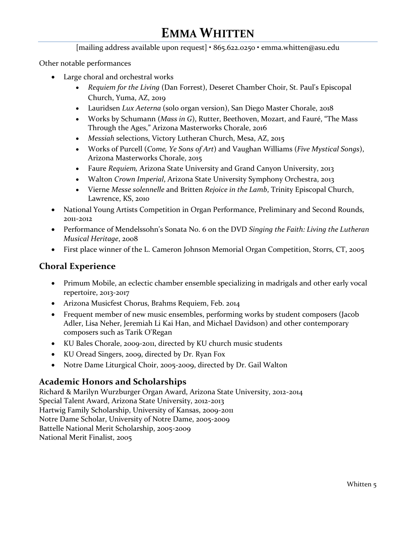[mailing address available upon request] • 865.622.0250 • emma.whitten@asu.edu

Other notable performances

- Large choral and orchestral works
	- *Requiem for the Living* (Dan Forrest), Deseret Chamber Choir, St. Paul's Episcopal Church, Yuma, AZ, 2019
	- Lauridsen *Lux Aeterna* (solo organ version), San Diego Master Chorale, 2018
	- Works by Schumann (*Mass in G*), Rutter, Beethoven, Mozart, and Fauré, "The Mass Through the Ages," Arizona Masterworks Chorale, 2016
	- *Messiah* selections, Victory Lutheran Church, Mesa, AZ, 2015
	- Works of Purcell (*Come, Ye Sons of Art*) and Vaughan Williams (*Five Mystical Songs*), Arizona Masterworks Chorale, 2015
	- Faure *Requiem,* Arizona State University and Grand Canyon University, 2013
	- Walton *Crown Imperial*, Arizona State University Symphony Orchestra, 2013
	- Vierne *Messe solennelle* and Britten *Rejoice in the Lamb*, Trinity Episcopal Church, Lawrence, KS, 2010
- National Young Artists Competition in Organ Performance, Preliminary and Second Rounds, 2011-2012
- Performance of Mendelssohn's Sonata No. 6 on the DVD *Singing the Faith: Living the Lutheran Musical Heritage*, 2008
- First place winner of the L. Cameron Johnson Memorial Organ Competition, Storrs, CT, 2005

#### **Choral Experience**

- Primum Mobile, an eclectic chamber ensemble specializing in madrigals and other early vocal repertoire, 2013-2017
- Arizona Musicfest Chorus, Brahms Requiem, Feb. 2014
- Frequent member of new music ensembles, performing works by student composers (Jacob Adler, Lisa Neher, Jeremiah Li Kai Han, and Michael Davidson) and other contemporary composers such as Tarik O'Regan
- KU Bales Chorale, 2009-2011, directed by KU church music students
- KU Oread Singers, 2009, directed by Dr. Ryan Fox
- Notre Dame Liturgical Choir, 2005-2009, directed by Dr. Gail Walton

#### **Academic Honors and Scholarships**

Richard & Marilyn Wurzburger Organ Award, Arizona State University, 2012-2014 Special Talent Award, Arizona State University, 2012-2013 Hartwig Family Scholarship, University of Kansas, 2009-2011 Notre Dame Scholar, University of Notre Dame, 2005-2009 Battelle National Merit Scholarship, 2005-2009 National Merit Finalist, 2005